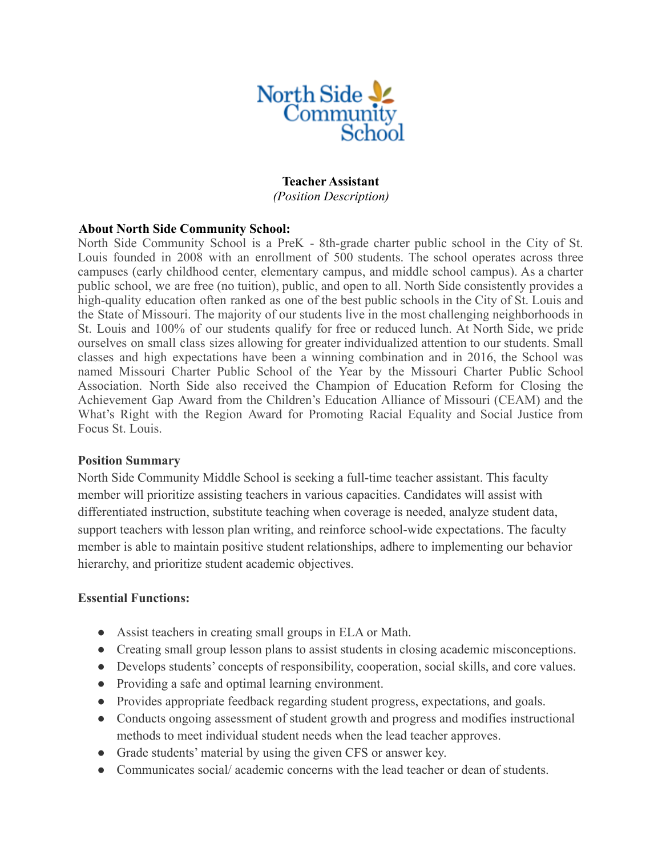

### **Teacher Assistant**

*(Position Description)*

## **About North Side Community School:**

North Side Community School is a PreK - 8th-grade charter public school in the City of St. Louis founded in 2008 with an enrollment of 500 students. The school operates across three campuses (early childhood center, elementary campus, and middle school campus). As a charter public school, we are free (no tuition), public, and open to all. North Side consistently provides a high-quality education often ranked as one of the best public schools in the City of St. Louis and the State of Missouri. The majority of our students live in the most challenging neighborhoods in St. Louis and 100% of our students qualify for free or reduced lunch. At North Side, we pride ourselves on small class sizes allowing for greater individualized attention to our students. Small classes and high expectations have been a winning combination and in 2016, the School was named Missouri Charter Public School of the Year by the Missouri Charter Public School Association. North Side also received the Champion of Education Reform for Closing the Achievement Gap Award from the Children's Education Alliance of Missouri (CEAM) and the What's Right with the Region Award for Promoting Racial Equality and Social Justice from Focus St. Louis.

## **Position Summary**

North Side Community Middle School is seeking a full-time teacher assistant. This faculty member will prioritize assisting teachers in various capacities. Candidates will assist with differentiated instruction, substitute teaching when coverage is needed, analyze student data, support teachers with lesson plan writing, and reinforce school-wide expectations. The faculty member is able to maintain positive student relationships, adhere to implementing our behavior hierarchy, and prioritize student academic objectives.

#### **Essential Functions:**

- Assist teachers in creating small groups in ELA or Math.
- Creating small group lesson plans to assist students in closing academic misconceptions.
- Develops students' concepts of responsibility, cooperation, social skills, and core values.
- Providing a safe and optimal learning environment.
- Provides appropriate feedback regarding student progress, expectations, and goals.
- Conducts ongoing assessment of student growth and progress and modifies instructional methods to meet individual student needs when the lead teacher approves.
- Grade students' material by using the given CFS or answer key.
- Communicates social/ academic concerns with the lead teacher or dean of students.